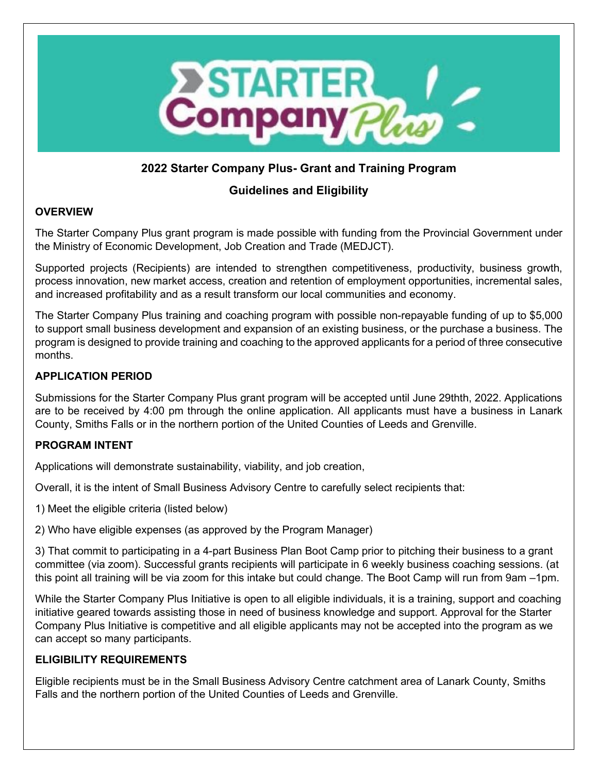

# **2022 Starter Company Plus- Grant and Training Program**

# **Guidelines and Eligibility**

# **OVERVIEW**

The Starter Company Plus grant program is made possible with funding from the Provincial Government under the Ministry of Economic Development, Job Creation and Trade (MEDJCT).

Supported projects (Recipients) are intended to strengthen competitiveness, productivity, business growth, process innovation, new market access, creation and retention of employment opportunities, incremental sales, and increased profitability and as a result transform our local communities and economy.

The Starter Company Plus training and coaching program with possible non-repayable funding of up to \$5,000 to support small business development and expansion of an existing business, or the purchase a business. The program is designed to provide training and coaching to the approved applicants for a period of three consecutive months.

## **APPLICATION PERIOD**

Submissions for the Starter Company Plus grant program will be accepted until June 29thth, 2022. Applications are to be received by 4:00 pm through the online application. All applicants must have a business in Lanark County, Smiths Falls or in the northern portion of the United Counties of Leeds and Grenville.

## **PROGRAM INTENT**

Applications will demonstrate sustainability, viability, and job creation,

Overall, it is the intent of Small Business Advisory Centre to carefully select recipients that:

1) Meet the eligible criteria (listed below)

2) Who have eligible expenses (as approved by the Program Manager)

3) That commit to participating in a 4-part Business Plan Boot Camp prior to pitching their business to a grant committee (via zoom). Successful grants recipients will participate in 6 weekly business coaching sessions. (at this point all training will be via zoom for this intake but could change. The Boot Camp will run from 9am –1pm.

While the Starter Company Plus Initiative is open to all eligible individuals, it is a training, support and coaching initiative geared towards assisting those in need of business knowledge and support. Approval for the Starter Company Plus Initiative is competitive and all eligible applicants may not be accepted into the program as we can accept so many participants.

## **ELIGIBILITY REQUIREMENTS**

Eligible recipients must be in the Small Business Advisory Centre catchment area of Lanark County, Smiths Falls and the northern portion of the United Counties of Leeds and Grenville.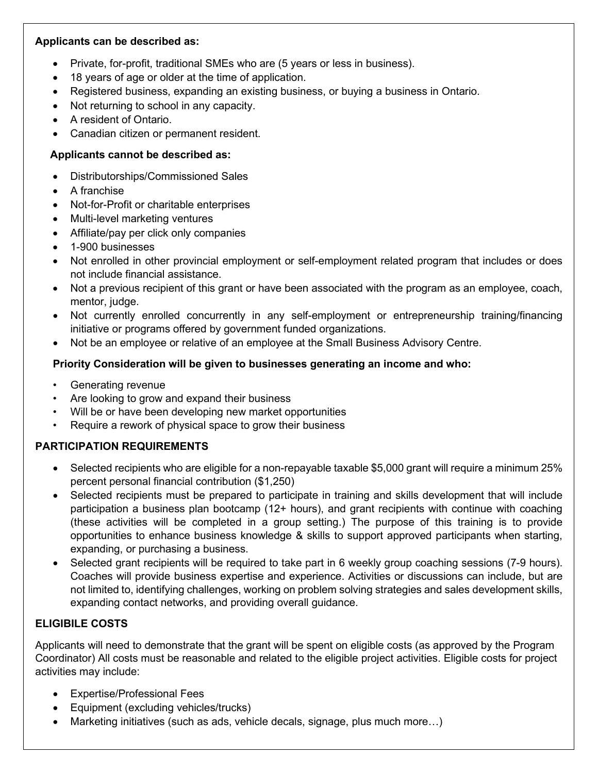#### **Applicants can be described as:**

- Private, for-profit, traditional SMEs who are (5 years or less in business).
- 18 years of age or older at the time of application.
- Registered business, expanding an existing business, or buying a business in Ontario.
- Not returning to school in any capacity.
- A resident of Ontario.
- Canadian citizen or permanent resident.

## **Applicants cannot be described as:**

- Distributorships/Commissioned Sales
- A franchise
- Not-for-Profit or charitable enterprises
- Multi-level marketing ventures
- Affiliate/pay per click only companies
- 1-900 businesses
- Not enrolled in other provincial employment or self-employment related program that includes or does not include financial assistance.
- Not a previous recipient of this grant or have been associated with the program as an employee, coach, mentor, judge.
- Not currently enrolled concurrently in any self-employment or entrepreneurship training/financing initiative or programs offered by government funded organizations.
- Not be an employee or relative of an employee at the Small Business Advisory Centre.

## **Priority Consideration will be given to businesses generating an income and who:**

- Generating revenue
- Are looking to grow and expand their business
- Will be or have been developing new market opportunities
- Require a rework of physical space to grow their business

# **PARTICIPATION REQUIREMENTS**

- Selected recipients who are eligible for a non-repayable taxable \$5,000 grant will require a minimum 25% percent personal financial contribution (\$1,250)
- Selected recipients must be prepared to participate in training and skills development that will include participation a business plan bootcamp (12+ hours), and grant recipients with continue with coaching (these activities will be completed in a group setting.) The purpose of this training is to provide opportunities to enhance business knowledge & skills to support approved participants when starting, expanding, or purchasing a business.
- Selected grant recipients will be required to take part in 6 weekly group coaching sessions (7-9 hours). Coaches will provide business expertise and experience. Activities or discussions can include, but are not limited to, identifying challenges, working on problem solving strategies and sales development skills, expanding contact networks, and providing overall guidance.

# **ELIGIBILE COSTS**

Applicants will need to demonstrate that the grant will be spent on eligible costs (as approved by the Program Coordinator) All costs must be reasonable and related to the eligible project activities. Eligible costs for project activities may include:

- Expertise/Professional Fees
- Equipment (excluding vehicles/trucks)
- Marketing initiatives (such as ads, vehicle decals, signage, plus much more…)